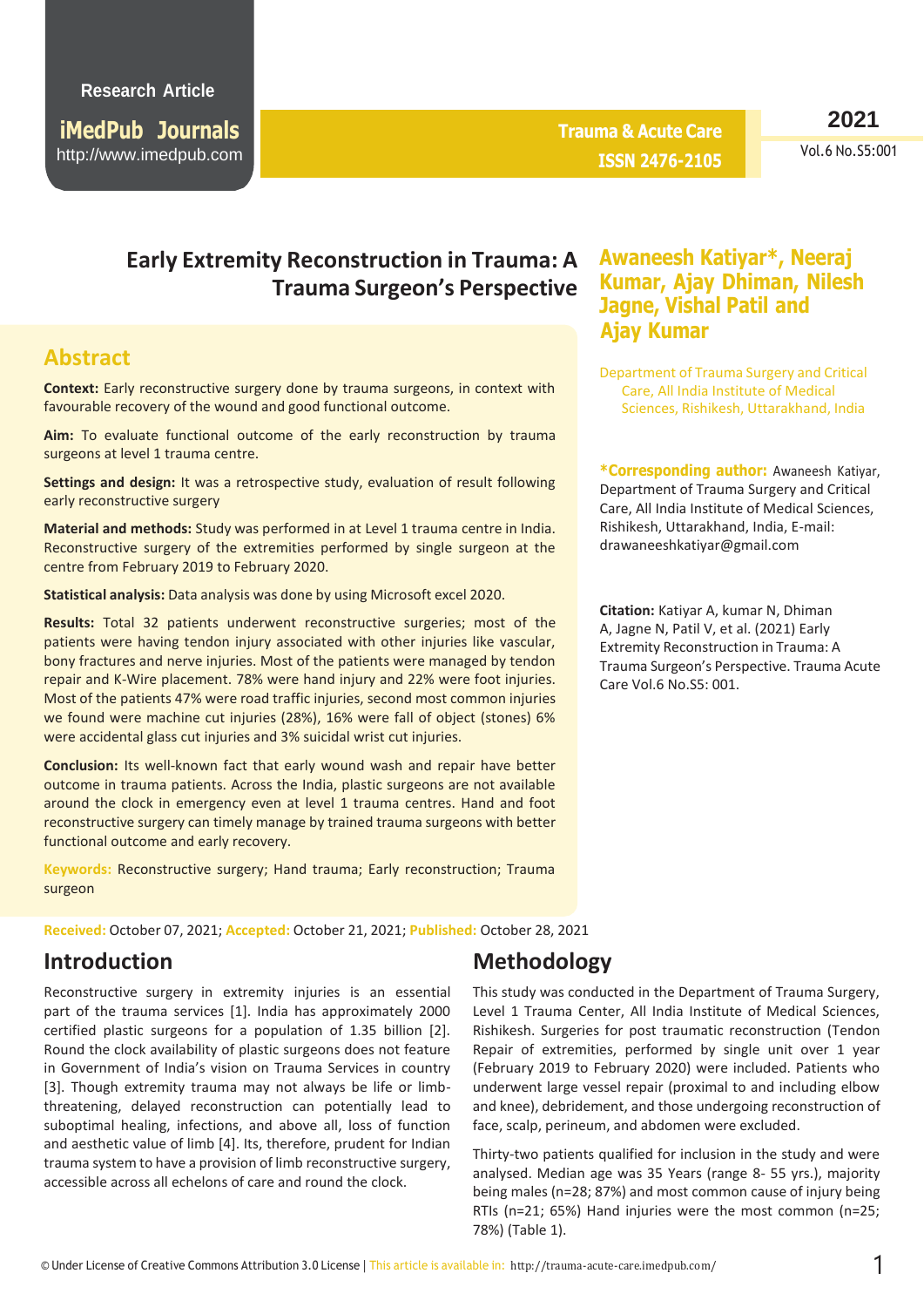**iMedPub Journals** [http://www.imedpub](http://www.imedpub.com/).com **Trauma & Acute Care ISSN 2476-2105** **2021**

Vol.6 No.S5:001

# **Early Extremity Reconstruction in Trauma: A Awaneesh Katiyar\*, Neeraj Trauma Surgeon's Perspective**

### **Abstract**

**Context:** Early reconstructive surgery done by trauma surgeons, in context with favourable recovery of the wound and good functional outcome.

**Aim:** To evaluate functional outcome of the early reconstruction by trauma surgeons at level 1 trauma centre.

**Settings and design:** It was a retrospective study, evaluation of result following early reconstructive surgery

**Material and methods:** Study was performed in at Level 1 trauma centre in India. Reconstructive surgery of the extremities performed by single surgeon at the centre from February 2019 to February 2020.

**Statistical analysis:** Data analysis was done by using Microsoft excel 2020.

**Results:** Total 32 patients underwent reconstructive surgeries; most of the patients were having tendon injury associated with other injuries like vascular, bony fractures and nerve injuries. Most of the patients were managed by tendon repair and K-Wire placement. 78% were hand injury and 22% were foot injuries. Most of the patients 47% were road traffic injuries, second most common injuries we found were machine cut injuries (28%), 16% were fall of object (stones) 6% were accidental glass cut injuries and 3% suicidal wrist cut injuries.

**Conclusion:** Its well-known fact that early wound wash and repair have better outcome in trauma patients. Across the India, plastic surgeons are not available around the clock in emergency even at level 1 trauma centres. Hand and foot reconstructive surgery can timely manage by trained trauma surgeons with better functional outcome and early recovery.

**Keywords:** Reconstructive surgery; Hand trauma; Early reconstruction; Trauma surgeon

**Received:** October 07, 2021; **Accepted:** October 21, 2021; **Published:** October 28, 2021

#### **Introduction**

Reconstructive surgery in extremity injuries is an essential part of the trauma services [1]. India has approximately 2000 certified plastic surgeons for a population of 1.35 billion [2]. Round the clock availability of plastic surgeons does not feature in Government of India's vision on Trauma Services in country [3]. Though extremity trauma may not always be life or limbthreatening, delayed reconstruction can potentially lead to suboptimal healing, infections, and above all, loss of function and aesthetic value of limb [4]. Its, therefore, prudent for Indian trauma system to have a provision of limb reconstructive surgery, accessible across all echelons of care and round the clock.

# **Kumar, Ajay Dhiman, Nilesh Jagne, Vishal Patil and Ajay Kumar**

Department of Trauma Surgery and Critical Care, All India Institute of Medical Sciences, Rishikesh, Uttarakhand, India

**\*Corresponding author:** Awaneesh Katiyar, Department of Trauma Surgery and Critical Care, All India Institute of Medical Sciences, Rishikesh, Uttarakhand, India, E-mail: [drawaneeshkatiyar@gmail.com](mailto:drawaneeshkatiyar@gmail.com)

**Citation:** Katiyar A, kumar N, Dhiman A, Jagne N, Patil V, et al. (2021) Early Extremity Reconstruction in Trauma: A Trauma Surgeon's Perspective. Trauma Acute Care Vol.6 No.S5: 001.

# **Methodology**

This study was conducted in the Department of Trauma Surgery, Level 1 Trauma Center, All India Institute of Medical Sciences, Rishikesh. Surgeries for post traumatic reconstruction (Tendon Repair of extremities, performed by single unit over 1 year (February 2019 to February 2020) were included. Patients who underwent large vessel repair (proximal to and including elbow and knee), debridement, and those undergoing reconstruction of face, scalp, perineum, and abdomen were excluded.

Thirty-two patients qualified for inclusion in the study and were analysed. Median age was 35 Years (range 8- 55 yrs.), majority being males (n=28; 87%) and most common cause of injury being RTIs (n=21; 65%) Hand injuries were the most common (n=25; 78%) (Table 1).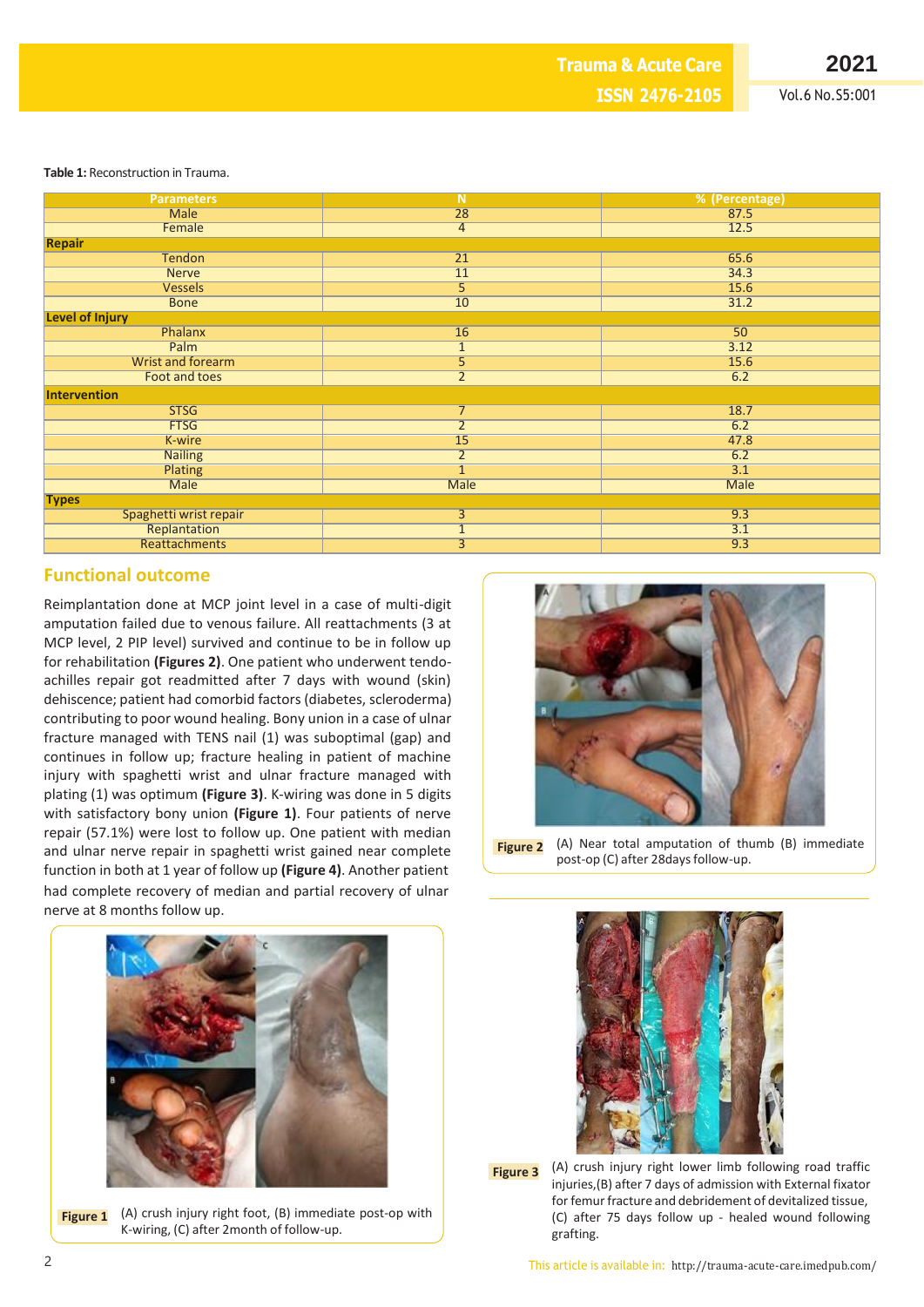**2021**

Vol.6 No.S5:001

**Table 1:** Reconstruction in Trauma.

| <b>Parameters</b>        | N               | % (Percentage) |
|--------------------------|-----------------|----------------|
| Male                     | 28              | 87.5           |
| Female                   | 4               | 12.5           |
| <b>Repair</b>            |                 |                |
| <b>Tendon</b>            | $\overline{21}$ | 65.6           |
| <b>Nerve</b>             | 11              | 34.3           |
| <b>Vessels</b>           | $\overline{5}$  | 15.6           |
| <b>Bone</b>              | 10              | 31.2           |
| <b>Level of Injury</b>   |                 |                |
| Phalanx                  | 16              | 50             |
| Palm                     | $\overline{1}$  | 3.12           |
| <b>Wrist and forearm</b> | $\overline{5}$  | 15.6           |
| <b>Foot and toes</b>     | $\overline{2}$  | 6.2            |
| <b>Intervention</b>      |                 |                |
| <b>STSG</b>              | $\overline{7}$  | 18.7           |
| <b>FTSG</b>              | $\overline{2}$  | 6.2            |
| K-wire                   | 15              | 47.8           |
| <b>Nailing</b>           | $\overline{2}$  | 6.2            |
| Plating                  | $\overline{1}$  | 3.1            |
| <b>Male</b>              | <b>Male</b>     | <b>Male</b>    |
| <b>Types</b>             |                 |                |
| Spaghetti wrist repair   | $\overline{3}$  | 9.3            |
| Replantation             | $\overline{1}$  | 3.1            |
| Reattachments            | $\overline{3}$  | 9.3            |
|                          |                 |                |

#### **Functional outcome**

Reimplantation done at MCP joint level in a case of multi-digit amputation failed due to venous failure. All reattachments (3 at MCP level, 2 PIP level) survived and continue to be in follow up for rehabilitation **(Figures 2)**. One patient who underwent tendoachilles repair got readmitted after 7 days with wound (skin) dehiscence; patient had comorbid factors (diabetes, scleroderma) contributing to poor wound healing. Bony union in a case of ulnar fracture managed with TENS nail (1) was suboptimal (gap) and continues in follow up; fracture healing in patient of machine injury with spaghetti wrist and ulnar fracture managed with plating (1) was optimum **(Figure 3)**. K-wiring was done in 5 digits with satisfactory bony union **(Figure 1)**. Four patients of nerve repair (57.1%) were lost to follow up. One patient with median and ulnar nerve repair in spaghetti wrist gained near complete function in both at 1 year of follow up **(Figure 4)**. Another patient had complete recovery of median and partial recovery of ulnar nerve at 8 months follow up.



**Figure 2** (A) Near total amputation of thumb (B) immediate post-op (C) after 28days follow-up.



**Figure 1** (A) crush injury right foot, (B) immediate post-op with K-wiring, (C) after 2month of follow-up.



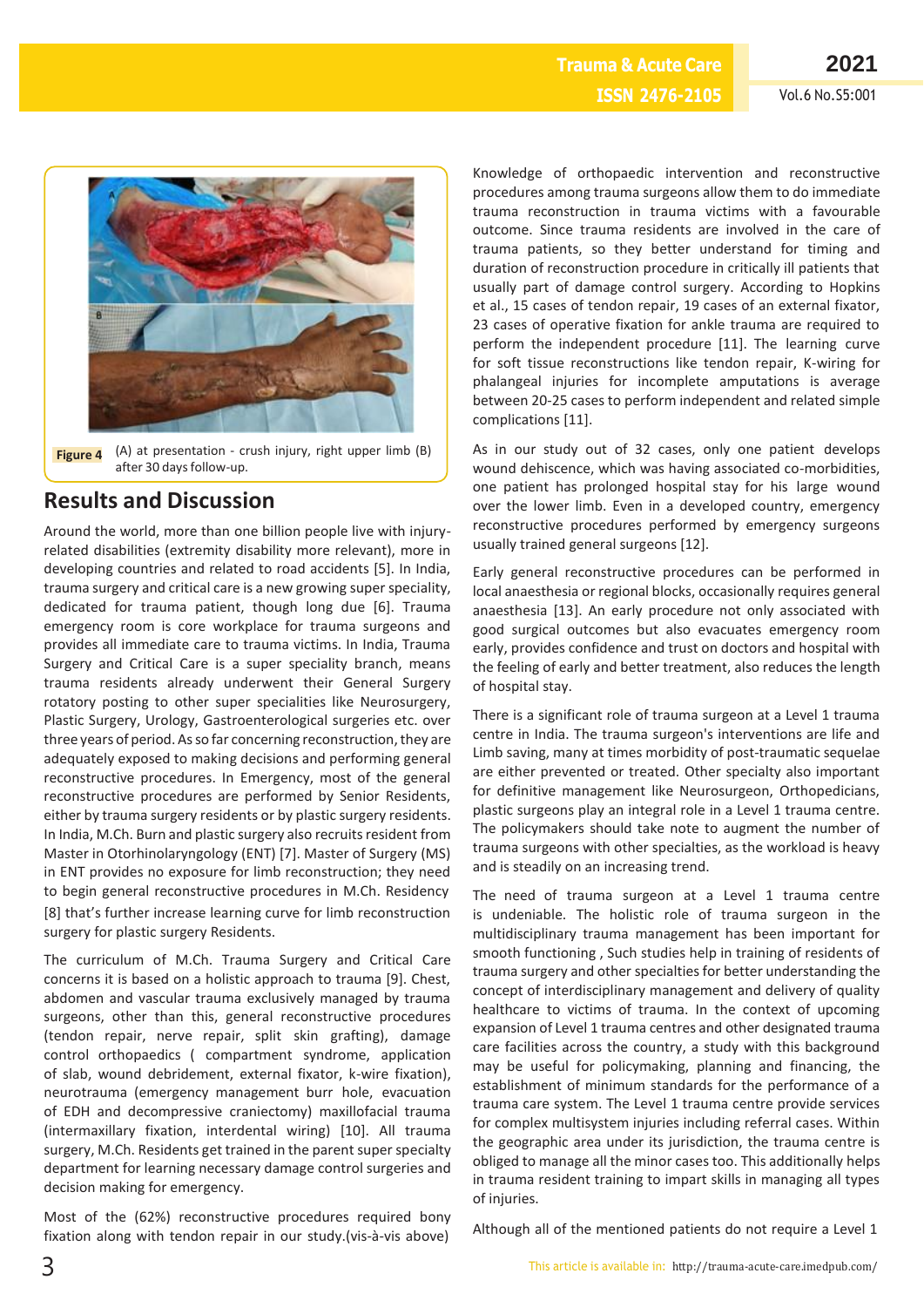**ISSN 2476-2105**

**Trauma & Acute Care**



**Figure 4** (A) at presentation - crush injury, right upper limb (B) after 30 days follow-up.

# **Results and Discussion**

Around the world, more than one billion people live with injuryrelated disabilities (extremity disability more relevant), more in developing countries and related to road accidents [5]. In India, trauma surgery and critical care is a new growing superspeciality, dedicated for trauma patient, though long due [6]. Trauma emergency room is core workplace for trauma surgeons and provides all immediate care to trauma victims. In India, Trauma Surgery and Critical Care is a super speciality branch, means trauma residents already underwent their General Surgery rotatory posting to other super specialities like Neurosurgery, Plastic Surgery, Urology, Gastroenterological surgeries etc. over three years of period. As so far concerning reconstruction, they are adequately exposed to making decisions and performing general reconstructive procedures. In Emergency, most of the general reconstructive procedures are performed by Senior Residents, either by trauma surgery residents or by plastic surgery residents. In India, M.Ch. Burn and plastic surgery also recruits resident from Master in Otorhinolaryngology (ENT) [7]. Master of Surgery (MS) in ENT provides no exposure for limb reconstruction; they need to begin general reconstructive procedures in M.Ch. Residency [8] that's further increase learning curve for limb reconstruction surgery for plastic surgery Residents.

The curriculum of M.Ch. Trauma Surgery and Critical Care concerns it is based on a holistic approach to trauma [9]. Chest, abdomen and vascular trauma exclusively managed by trauma surgeons, other than this, general reconstructive procedures (tendon repair, nerve repair, split skin grafting), damage control orthopaedics ( compartment syndrome, application of slab, wound debridement, external fixator, k-wire fixation), neurotrauma (emergency management burr hole, evacuation of EDH and decompressive craniectomy) maxillofacial trauma (intermaxillary fixation, interdental wiring) [10]. All trauma surgery, M.Ch. Residents get trained in the parent super specialty department for learning necessary damage control surgeries and decision making for emergency.

Most of the (62%) reconstructive procedures required bony fixation along with tendon repair in our study.(vis-à-vis above)

Knowledge of orthopaedic intervention and reconstructive procedures among trauma surgeons allow them to do immediate trauma reconstruction in trauma victims with a favourable outcome. Since trauma residents are involved in the care of trauma patients, so they better understand for timing and duration of reconstruction procedure in critically ill patients that usually part of damage control surgery. According to Hopkins et al., 15 cases of tendon repair, 19 cases of an external fixator, 23 cases of operative fixation for ankle trauma are required to perform the independent procedure [11]. The learning curve for soft tissue reconstructions like tendon repair, K-wiring for phalangeal injuries for incomplete amputations is average between 20-25 cases to perform independent and related simple complications [11].

As in our study out of 32 cases, only one patient develops wound dehiscence, which was having associated co-morbidities, one patient has prolonged hospital stay for his large wound over the lower limb. Even in a developed country, emergency reconstructive procedures performed by emergency surgeons usually trained general surgeons [12].

Early general reconstructive procedures can be performed in local anaesthesia or regional blocks, occasionally requires general anaesthesia [13]. An early procedure not only associated with good surgical outcomes but also evacuates emergency room early, provides confidence and trust on doctors and hospital with the feeling of early and better treatment, also reduces the length of hospital stay.

There is a significant role of trauma surgeon at a Level 1 trauma centre in India. The trauma surgeon's interventions are life and Limb saving, many at times morbidity of post-traumatic sequelae are either prevented or treated. Other specialty also important for definitive management like Neurosurgeon, Orthopedicians, plastic surgeons play an integral role in a Level 1 trauma centre. The policymakers should take note to augment the number of trauma surgeons with other specialties, as the workload is heavy and is steadily on an increasing trend.

The need of trauma surgeon at a Level 1 trauma centre is undeniable. The holistic role of trauma surgeon in the multidisciplinary trauma management has been important for smooth functioning , Such studies help in training of residents of trauma surgery and other specialties for better understanding the concept of interdisciplinary management and delivery of quality healthcare to victims of trauma. In the context of upcoming expansion of Level 1 trauma centres and other designated trauma care facilities across the country, a study with this background may be useful for policymaking, planning and financing, the establishment of minimum standards for the performance of a trauma care system. The Level 1 trauma centre provide services for complex multisystem injuries including referral cases. Within the geographic area under its jurisdiction, the trauma centre is obliged to manage all the minor cases too. This additionally helps in trauma resident training to impart skills in managing all types of injuries.

Although all of the mentioned patients do not require a Level 1